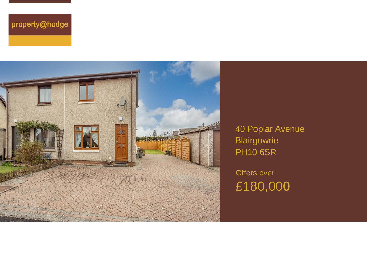



40 Poplar Avenue **Blairgowrie** PH10 6SR

Offers over £180,000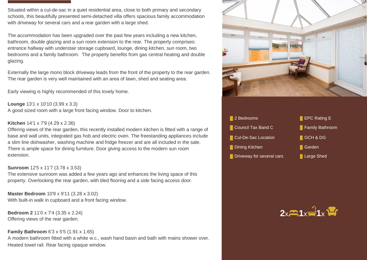Situated within a cul-de-sac in a quiet residential area, close to both primary and secondary schools, this beautifully presented semi-detached villa offers spacious family accommodation with driveway for several cars and a rear garden with a large shed.

The accommodation has been upgraded over the past few years including a new kitchen, bathroom, double glazing and a sun room extension to the rear. The property comprises: entrance hallway with understair storage cupboard, lounge, dining kitchen, sun room, two bedrooms and a family bathroom. The property benefits from gas central heating and double glazing.

Externally the large mono block driveway leads from the front of the property to the rear garden. The rear garden is very well maintained with an area of lawn, shed and seating area.

Early viewing is highly recommended of this lovely home.

**Lounge** 13'1 x 10'10 (3.99 x 3.3) A good sized room with a large front facing window. Door to kitchen.

# **Kitchen** 14'1 x 7'9 (4.29 x 2.36)

Offering views of the rear garden, this recently installed modern kitchen is fitted with a range of base and wall units, integrated gas hob and electric oven. The freestanding appliances include a slim line dishwasher, washing machine and fridge freezer and are all included in the sale. There is ample space for dining furniture. Door giving access to the modern sun room extension.

## **Sunroom** 12'5 x 11'7 (3.78 x 3.53)

The extensive sunroom was added a few years ago and enhances the living space of this property. Overlooking the rear garden, with tiled flooring and a side facing access door.

**Master Bedroom** 10'9 x 9'11 (3.28 x 3.02) With built-in walk in cupboard and a front facing window.

**Bedroom 2** 11'0 x 7'4 (3.35 x 2.24) Offering views of the rear garden.

# **Family Bathroom** 6'3 x 5'5 (1.91 x 1.65)

A modern bathroom fitted with a white w.c., wash hand basin and bath with mains shower over. Heated towel rail. Rear facing opaque window.





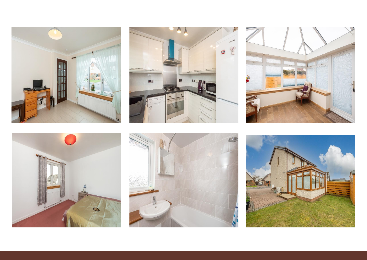